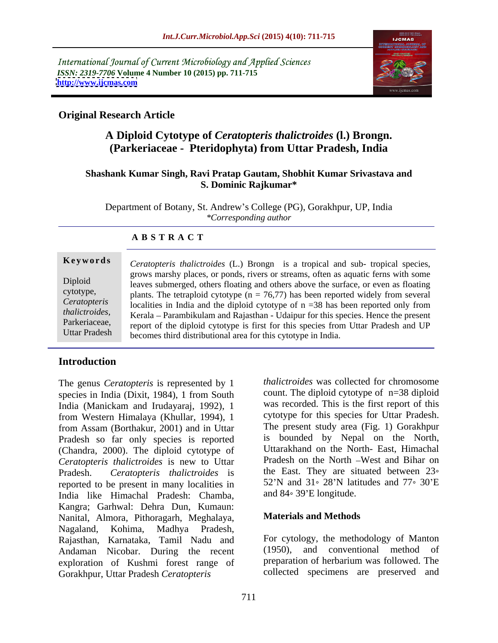International Journal of Current Microbiology and Applied Sciences *ISSN: 2319-7706* Volume 4 Number 10 (2015) pp. 711-715<br>http://www.ijcmas.com **<http://www.ijcmas.com>**



## **Original Research Article**

## **A Diploid Cytotype of** *Ceratopteris thalictroides* **(l.) Brongn. (Parkeriaceae - Pteridophyta) from Uttar Pradesh, India**

## **Shashank Kumar Singh, Ravi Pratap Gautam, Shobhit Kumar Srivastava and S. Dominic Rajkumar\***

Department of Botany, St. Andrew's College (PG), Gorakhpur, UP, India *\*Corresponding author*

| Keywords     | Ceratopteris thalictroides (L.) Brongn is a tropical and sub- tropical species,                  |  |  |
|--------------|--------------------------------------------------------------------------------------------------|--|--|
|              | grows marshy places, or ponds, rivers or streams, often as aquatic ferns with some               |  |  |
| Diploid      | leaves submerged, others floating and others above the surface, or even as floating              |  |  |
| cytotype,    | plants. The tetraploid cytotype ( $n = 76,77$ ) has been reported widely from several            |  |  |
| Ceratopteris | s localities in India and the diploid cytotype of $n = 38$ has been reported only from           |  |  |
|              | thalictroides, Kerala - Parambikulam and Rajasthan - Udaipur for this species. Hence the present |  |  |
|              | Parkeriaceae, report of the diploid cytotype is first for this species from Uttar Pradesh and UP |  |  |
|              | Uttar Pradesh becomes third distributional area for this cytotype in India.                      |  |  |

### **A B S T R A C T**

## **Introduction**

The genus *Ceratopteris* is represented by 1 species in India (Dixit, 1984), 1 from South India (Manickam and Irudayaraj, 1992), 1 from Western Himalaya (Khullar, 1994), 1 from Assam (Borthakur, 2001) and in Uttar Pradesh so far only species is reported (Chandra, 2000). The diploid cytotype of *Ceratopteris thalictroides* is new to Uttar Pradesh. *Ceratopteris thalictroides* is the East. They are situated between 23<sup>°</sup> reported to be present in many localities in  $52^{\circ}$ N and  $31^{\circ}$  28'N lati<br>India like Himachal Pradesh: Chamba. and  $84^{\circ}$  39'E longitude. India like Himachal Pradesh: Chamba, Kangra; Garhwal: Dehra Dun, Kumaun:<br>Nanital Almora Pithoragarh Meghalaya **Materials and Methods** Nanital, Almora, Pithoragarh, Meghalaya, Nagaland, Kohima, Madhya Pradesh, Rajasthan, Karnataka, Tamil Nadu and For cytology, the methodology of Manton<br>Andaman Nicobar During the recent (1950), and conventional method of Andaman Nicobar. During the recent exploration of Kushmi forest range of Gorakhpur, Uttar Pradesh *Ceratopteris* 

*thalictroides* was collected for chromosome count. The diploid cytotype of n=38 diploid was recorded. This is the first report of this cytotype for this species for Uttar Pradesh. The present study area (Fig. 1) Gorakhpur is bounded by Nepal on the North, Uttarakhand on the North- East, Himachal Pradesh on the North -West and Bihar on 52'N and  $31 \textdegree 28'N$  latitudes and  $77 \textdegree 30'E$ and  $84^{\circ}$  39'E longitude.

# **Materials and Methods**

For cytology, the methodology of Manton and conventional method preparation of herbarium was followed. The collected specimens are preserved and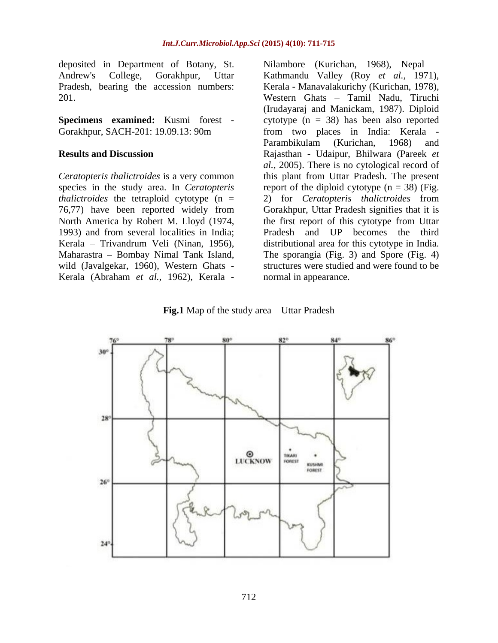deposited in Department of Botany, St.

*thalictroides* the tetraploid cytotype (n = 2) for *Ceratopteris thalictroides* from 76,77) have been reported widely from wild (Javalgekar, 1960), Western Ghats -

Andrew's College, Gorakhpur, Uttar Kathmandu Valley (Roy *et al.,* 1971), Pradesh, bearing the accession numbers: Kerala - Manavalakurichy (Kurichan, 1978), 201. Western Ghats - Tamil Nadu, Tiruchi **Specimens examined:** Kusmi forest - cytotype (n = 38) has been also reported Gorakhpur, SACH-201: 19.09.13: 90m from two places in India: Kerala - **Results and Discussion** Rajasthan - Udaipur, Bhilwara (Pareek *et Ceratopteris thalictroides* is a very common this plant from Uttar Pradesh. The present species in the study area. In *Ceratopteris*  report of the diploid cytotype (n = 38) (Fig. North America by Robert M. Lloyd (1974, the first report of this cytotype from Uttar 1993) and from several localities in India; Pradesh and UP becomes the third Kerala – Trivandrum Veli (Ninan, 1956), distributional area for this cytotype in India. Maharastra – Bombay Nimal Tank Island, The sporangia (Fig. 3) and Spore (Fig. 4) deposited in Department of Botany, St. Nilambore (Kurichan, 1968), Nepal –<br>
Anadesh, bearing the accession numbers:<br>
Kerala - Manavalakurichy (Kurichan, 1978),<br>
201. Western Ghas – Tamil Nadu, Tiruchi<br> **Specimens examined:** (Irudayaraj and Manickam, 1987). Diploid Parambikulam (Kurichan, 1968) and *al.,* 2005). There is no cytological record of 2) for *Ceratopteris thalictroides* from Gorakhpur, Uttar Pradesh signifies that it is structures were studied and were found to be normal in appearance.

**Fig.1** Map of the study area – Uttar Pradesh

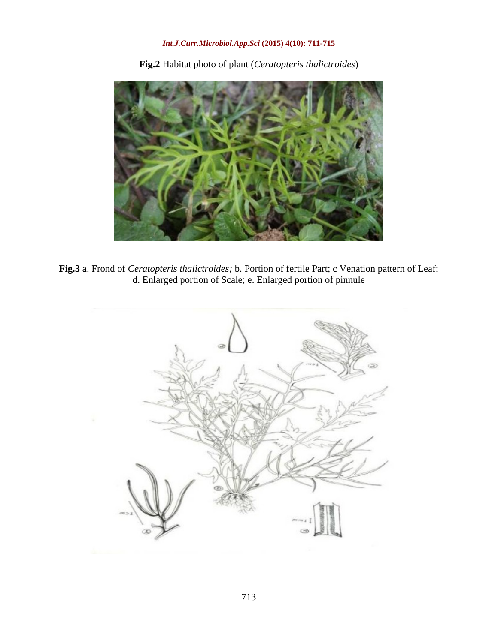## *Int.J.Curr.Microbiol.App.Sci* **(2015) 4(10): 711-715**

**Fig.2** Habitat photo of plant (*Ceratopteris thalictroides*)



**Fig.3** a. Frond of *Ceratopteris thalictroides;* b. Portion of fertile Part; c Venation pattern of Leaf; d. Enlarged portion of Scale; e. Enlarged portion of pinnule

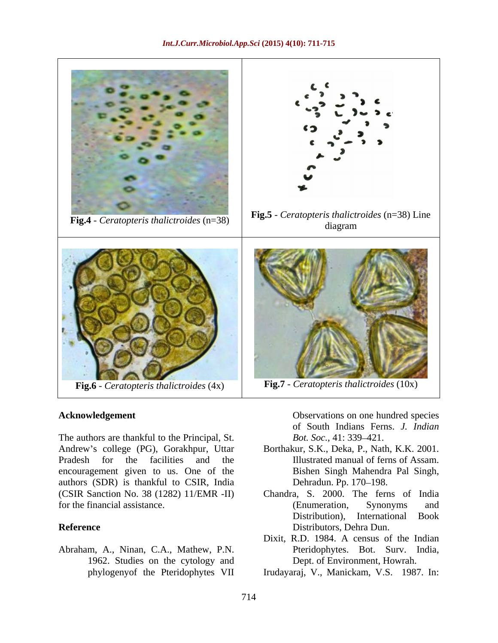

The authors are thankful to the Principal, St. Bot. Soc., 41: 339–421. Andrew s college (PG), Gorakhpur, Uttar Borthakur, S.K., Deka, P., Nath, K.K. 2001. Pradesh for the facilities and the Illustrated manual of ferns of Assam. encouragement given to us. One of the authors (SDR) is thankful to CSIR, India (CSIR Sanction No. 38 (1282) 11/EMR -II) for the financial assistance. (Enumeration, Synonyms and

Abraham, A., Ninan, C.A., Mathew, P.N. 1962. Studies on the cytology and<br>phylogenyof the Pteridophytes VII

Acknowledgement **Acknowledgement** Observations on one hundred species of South Indians Ferns. *J. Indian Bot. Soc.,* 41: 339–421.

- Bishen Singh Mahendra Pal Singh, Dehradun. Pp. 170-198.
- **Reference** Distributors, Dehra Dun. Chandra, S. 2000. The ferns of India (Enumeration, Synonyms and Distribution), International Book Distributors, Dehra Dun.
	- Dixit, R.D. 1984. A census of the Indian Pteridophytes. Bot. Surv. India, Dept. of Environment, Howrah.
	- phylogenyof the Pteridophytes VII Irudayaraj, V., Manickam, V.S. 1987. In: